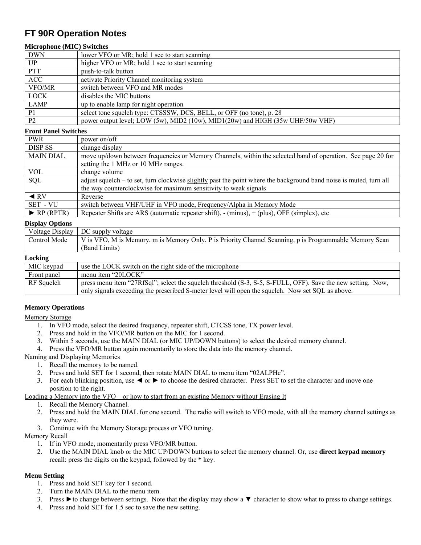# **FT 90R Operation Notes**

## **Microphone (MIC) Switches**

| <b>DWN</b>     | lower VFO or MR; hold 1 sec to start scanning                                  |  |  |  |
|----------------|--------------------------------------------------------------------------------|--|--|--|
| UP             | higher VFO or MR; hold 1 sec to start scanning                                 |  |  |  |
| <b>PTT</b>     | push-to-talk button                                                            |  |  |  |
| <b>ACC</b>     | activate Priority Channel monitoring system                                    |  |  |  |
| VFO/MR         | switch between VFO and MR modes                                                |  |  |  |
| <b>LOCK</b>    | disables the MIC buttons                                                       |  |  |  |
| LAMP           | up to enable lamp for night operation                                          |  |  |  |
| P <sub>1</sub> | select tone squelch type: CTSSSW, DCS, BELL, or OFF (no tone), p. 28           |  |  |  |
| P <sub>2</sub> | power output level; LOW (5w), MID2 (10w), MID1(20w) and HIGH (35w UHF/50w VHF) |  |  |  |

#### **Front Panel Switches**

| <b>PWR</b>                      | power on/off                                                                                                                                                                           |  |  |  |
|---------------------------------|----------------------------------------------------------------------------------------------------------------------------------------------------------------------------------------|--|--|--|
| <b>DISP SS</b>                  | change display                                                                                                                                                                         |  |  |  |
| <b>MAIN DIAL</b>                | move up/down between frequencies or Memory Channels, within the selected band of operation. See page 20 for<br>setting the 1 MHz or 10 MHz ranges.                                     |  |  |  |
| <b>VOL</b>                      | change volume                                                                                                                                                                          |  |  |  |
| <b>SQL</b>                      | adjust squelch – to set, turn clockwise slightly past the point where the background band noise is muted, turn all<br>the way counterclockwise for maximum sensitivity to weak signals |  |  |  |
| $\triangleleft$ RV              | Reverse                                                                                                                                                                                |  |  |  |
| SET - VU                        | switch between VHF/UHF in VFO mode, Frequency/Alpha in Memory Mode                                                                                                                     |  |  |  |
| $\blacktriangleright$ RP (RPTR) | Repeater Shifts are ARS (automatic repeater shift), - (minus), + (plus), OFF (simplex), etc                                                                                            |  |  |  |

#### **Display Options**

| Voltage Display | DC supply voltage                                                                                      |  |  |  |
|-----------------|--------------------------------------------------------------------------------------------------------|--|--|--|
| Control Mode    | V is VFO, M is Memory, m is Memory Only, P is Priority Channel Scanning, p is Programmable Memory Scan |  |  |  |
|                 | (Band Limits)                                                                                          |  |  |  |
| Locking         |                                                                                                        |  |  |  |
| MIC keypad      | use the LOCK switch on the right side of the microphone                                                |  |  |  |
|                 |                                                                                                        |  |  |  |

| MIC keypad  | use the LOCK switch on the right side of the microphone                                                     |
|-------------|-------------------------------------------------------------------------------------------------------------|
| Front panel | menu item "20LOCK"                                                                                          |
| RF Squelch  | press menu item "27RfSql"; select the squelch threshold (S-3, S-5, S-FULL, OFF). Save the new setting. Now, |
|             | only signals exceeding the prescribed S-meter level will open the squelch. Now set SQL as above.            |

# **Memory Operations**

### Memory Storage

- 1. In VFO mode, select the desired frequency, repeater shift, CTCSS tone, TX power level.
- 2. Press and hold in the VFO/MR button on the MIC for 1 second.
- 3. Within 5 seconds, use the MAIN DIAL (or MIC UP/DOWN buttons) to select the desired memory channel.
- 4. Press the VFO/MR button again momentarily to store the data into the memory channel.

Naming and Displaying Memories

- 1. Recall the memory to be named.
- 2. Press and hold SET for 1 second, then rotate MAIN DIAL to menu item "02ALPHc".
- 3. For each blinking position, use ◄ or ► to choose the desired character. Press SET to set the character and move one position to the right.

### Loading a Memory into the VFO – or how to start from an existing Memory without Erasing It

- 1. Recall the Memory Channel.
- 2. Press and hold the MAIN DIAL for one second. The radio will switch to VFO mode, with all the memory channel settings as they were.
- 3. Continue with the Memory Storage process or VFO tuning.

# Memory Recall

- 1. If in VFO mode, momentarily press VFO/MR button.
- 2. Use the MAIN DIAL knob or the MIC UP/DOWN buttons to select the memory channel. Or, use **direct keypad memory** recall: press the digits on the keypad, followed by the **\*** key.

# **Menu Setting**

- 1. Press and hold SET key for 1 second.
- 2. Turn the MAIN DIAL to the menu item.
- 3. Press ►to change between settings. Note that the display may show a ▼ character to show what to press to change settings.
- 4. Press and hold SET for 1.5 sec to save the new setting.